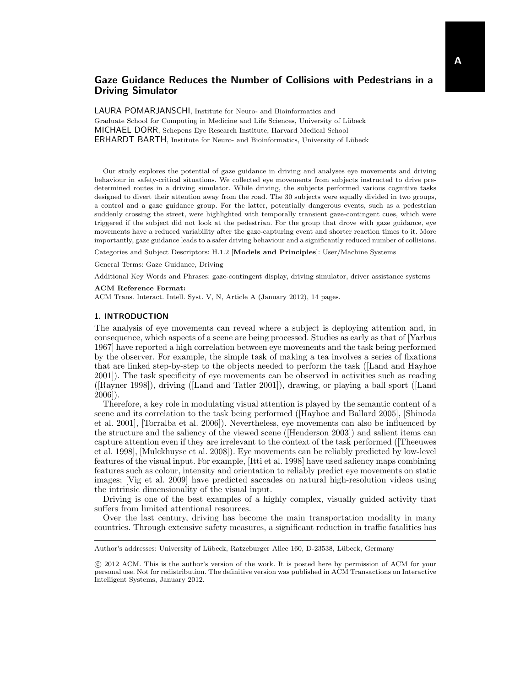# Gaze Guidance Reduces the Number of Collisions with Pedestrians in a Driving Simulator

LAURA POMARJANSCHI, Institute for Neuro- and Bioinformatics and Graduate School for Computing in Medicine and Life Sciences, University of Lübeck MICHAEL DORR, Schepens Eye Research Institute, Harvard Medical School **ERHARDT BARTH, Institute for Neuro- and Bioinformatics, University of Lübeck** 

Our study explores the potential of gaze guidance in driving and analyses eye movements and driving behaviour in safety-critical situations. We collected eye movements from subjects instructed to drive predetermined routes in a driving simulator. While driving, the subjects performed various cognitive tasks designed to divert their attention away from the road. The 30 subjects were equally divided in two groups, a control and a gaze guidance group. For the latter, potentially dangerous events, such as a pedestrian suddenly crossing the street, were highlighted with temporally transient gaze-contingent cues, which were triggered if the subject did not look at the pedestrian. For the group that drove with gaze guidance, eye movements have a reduced variability after the gaze-capturing event and shorter reaction times to it. More importantly, gaze guidance leads to a safer driving behaviour and a significantly reduced number of collisions.

Categories and Subject Descriptors: H.1.2 [Models and Principles]: User/Machine Systems

General Terms: Gaze Guidance, Driving

Additional Key Words and Phrases: gaze-contingent display, driving simulator, driver assistance systems

#### ACM Reference Format:

ACM Trans. Interact. Intell. Syst. V, N, Article A (January 2012), 14 pages.

# 1. INTRODUCTION

The analysis of eye movements can reveal where a subject is deploying attention and, in consequence, which aspects of a scene are being processed. Studies as early as that of [Yarbus 1967] have reported a high correlation between eye movements and the task being performed by the observer. For example, the simple task of making a tea involves a series of fixations that are linked step-by-step to the objects needed to perform the task ([Land and Hayhoe 2001]). The task specificity of eye movements can be observed in activities such as reading ([Rayner 1998]), driving ([Land and Tatler 2001]), drawing, or playing a ball sport ([Land 2006]).

Therefore, a key role in modulating visual attention is played by the semantic content of a scene and its correlation to the task being performed ([Hayhoe and Ballard 2005], [Shinoda et al. 2001], [Torralba et al. 2006]). Nevertheless, eye movements can also be influenced by the structure and the saliency of the viewed scene ([Henderson 2003]) and salient items can capture attention even if they are irrelevant to the context of the task performed ([Theeuwes et al. 1998], [Mulckhuyse et al. 2008]). Eye movements can be reliably predicted by low-level features of the visual input. For example, [Itti et al. 1998] have used saliency maps combining features such as colour, intensity and orientation to reliably predict eye movements on static images; [Vig et al. 2009] have predicted saccades on natural high-resolution videos using the intrinsic dimensionality of the visual input.

Driving is one of the best examples of a highly complex, visually guided activity that suffers from limited attentional resources.

Over the last century, driving has become the main transportation modality in many countries. Through extensive safety measures, a significant reduction in traffic fatalities has

Author's addresses: University of Lübeck, Ratzeburger Allee 160, D-23538, Lübeck, Germany

c 2012 ACM. This is the author's version of the work. It is posted here by permission of ACM for your personal use. Not for redistribution. The definitive version was published in ACM Transactions on Interactive Intelligent Systems, January 2012.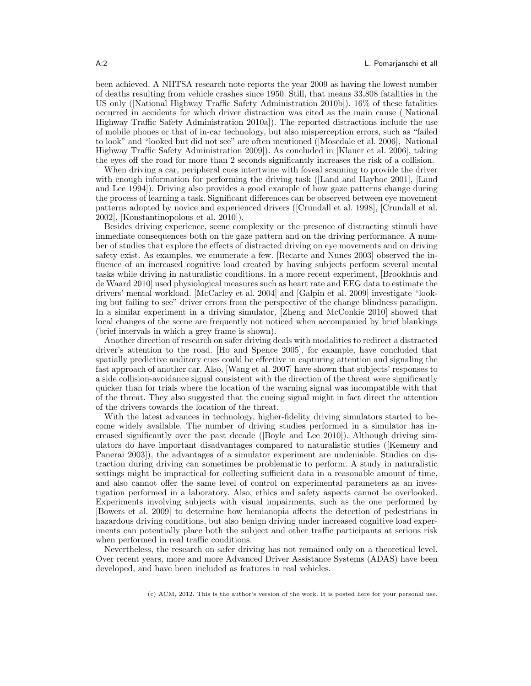been achieved. A NHTSA research note reports the year 2009 as having the lowest number of deaths resulting from vehicle crashes since 1950. Still, that means 33,808 fatalities in the US only ([National Highway Traffic Safety Administration 2010b]). 16% of these fatalities occurred in accidents for which driver distraction was cited as the main cause ([National Highway Traffic Safety Administration 2010a]). The reported distractions include the use of mobile phones or that of in-car technology, but also misperception errors, such as "failed to look" and "looked but did not see" are often mentioned ([Mosedale et al. 2006], [National Highway Traffic Safety Administration 2009]). As concluded in [Klauer et al. 2006], taking the eyes off the road for more than 2 seconds significantly increases the risk of a collision.

When driving a car, peripheral cues intertwine with foveal scanning to provide the driver with enough information for performing the driving task ([Land and Hayhoe 2001], [Land and Lee 1994]). Driving also provides a good example of how gaze patterns change during the process of learning a task. Significant differences can be observed between eye movement patterns adopted by novice and experienced drivers ([Crundall et al. 1998], [Crundall et al. 2002], [Konstantinopolous et al. 2010]).

Besides driving experience, scene complexity or the presence of distracting stimuli have immediate consequences both on the gaze pattern and on the driving performance. A number of studies that explore the effects of distracted driving on eye movements and on driving safety exist. As examples, we enumerate a few. [Recarte and Nunes 2003] observed the influence of an increased cognitive load created by having subjects perform several mental tasks while driving in naturalistic conditions. In a more recent experiment, [Brookhuis and de Waard 2010] used physiological measures such as heart rate and EEG data to estimate the drivers' mental workload. [McCarley et al. 2004] and [Galpin et al. 2009] investigate "looking but failing to see" driver errors from the perspective of the change blindness paradigm. In a similar experiment in a driving simulator, [Zheng and McConkie 2010] showed that local changes of the scene are frequently not noticed when accompanied by brief blankings (brief intervals in which a grey frame is shown).

Another direction of research on safer driving deals with modalities to redirect a distracted driver's attention to the road. [Ho and Spence 2005], for example, have concluded that spatially predictive auditory cues could be effective in capturing attention and signaling the fast approach of another car. Also, [Wang et al. 2007] have shown that subjects' responses to a side collision-avoidance signal consistent with the direction of the threat were significantly quicker than for trials where the location of the warning signal was incompatible with that of the threat. They also suggested that the cueing signal might in fact direct the attention of the drivers towards the location of the threat.

With the latest advances in technology, higher-fidelity driving simulators started to become widely available. The number of driving studies performed in a simulator has increased significantly over the past decade ([Boyle and Lee 2010]). Although driving simulators do have important disadvantages compared to naturalistic studies ([Kemeny and Panerai 2003]), the advantages of a simulator experiment are undeniable. Studies on distraction during driving can sometimes be problematic to perform. A study in naturalistic settings might be impractical for collecting sufficient data in a reasonable amount of time, and also cannot offer the same level of control on experimental parameters as an investigation performed in a laboratory. Also, ethics and safety aspects cannot be overlooked. Experiments involving subjects with visual impairments, such as the one performed by [Bowers et al. 2009] to determine how hemianopia affects the detection of pedestrians in hazardous driving conditions, but also benign driving under increased cognitive load experiments can potentially place both the subject and other traffic participants at serious risk when performed in real traffic conditions.

Nevertheless, the research on safer driving has not remained only on a theoretical level. Over recent years, more and more Advanced Driver Assistance Systems (ADAS) have been developed, and have been included as features in real vehicles.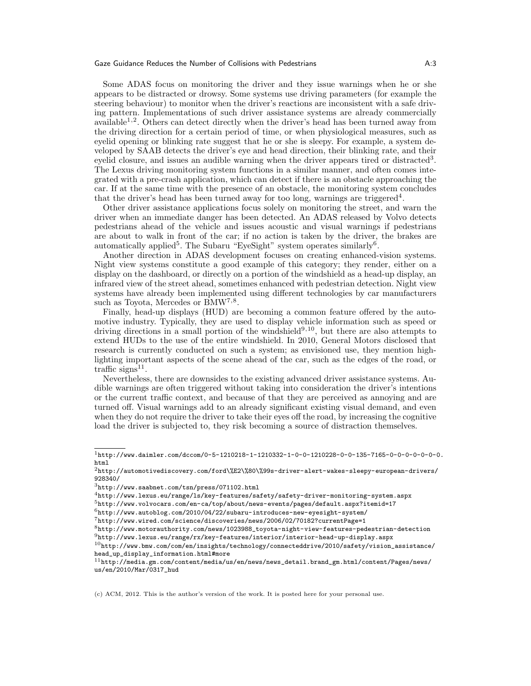#### Gaze Guidance Reduces the Number of Collisions with Pedestrians **A:3** A:3

Some ADAS focus on monitoring the driver and they issue warnings when he or she appears to be distracted or drowsy. Some systems use driving parameters (for example the steering behaviour) to monitor when the driver's reactions are inconsistent with a safe driving pattern. Implementations of such driver assistance systems are already commercially available<sup> $1,2$ </sup>. Others can detect directly when the driver's head has been turned away from the driving direction for a certain period of time, or when physiological measures, such as eyelid opening or blinking rate suggest that he or she is sleepy. For example, a system developed by SAAB detects the driver's eye and head direction, their blinking rate, and their eyelid closure, and issues an audible warning when the driver appears tired or distracted<sup>3</sup>. The Lexus driving monitoring system functions in a similar manner, and often comes integrated with a pre-crash application, which can detect if there is an obstacle approaching the car. If at the same time with the presence of an obstacle, the monitoring system concludes that the driver's head has been turned away for too long, warnings are triggered<sup>4</sup>.

Other driver assistance applications focus solely on monitoring the street, and warn the driver when an immediate danger has been detected. An ADAS released by Volvo detects pedestrians ahead of the vehicle and issues acoustic and visual warnings if pedestrians are about to walk in front of the car; if no action is taken by the driver, the brakes are automatically applied<sup>5</sup>. The Subaru "EyeSight" system operates similarly<sup>6</sup>.

Another direction in ADAS development focuses on creating enhanced-vision systems. Night view systems constitute a good example of this category; they render, either on a display on the dashboard, or directly on a portion of the windshield as a head-up display, an infrared view of the street ahead, sometimes enhanced with pedestrian detection. Night view systems have already been implemented using different technologies by car manufacturers such as Toyota, Mercedes or BMW<sup>7,8</sup>.

Finally, head-up displays (HUD) are becoming a common feature offered by the automotive industry. Typically, they are used to display vehicle information such as speed or driving directions in a small portion of the windshield $9,10$ , but there are also attempts to extend HUDs to the use of the entire windshield. In 2010, General Motors disclosed that research is currently conducted on such a system; as envisioned use, they mention highlighting important aspects of the scene ahead of the car, such as the edges of the road, or  $\text{traffic signs}^{11}$ .

Nevertheless, there are downsides to the existing advanced driver assistance systems. Audible warnings are often triggered without taking into consideration the driver's intentions or the current traffic context, and because of that they are perceived as annoying and are turned off. Visual warnings add to an already significant existing visual demand, and even when they do not require the driver to take their eyes off the road, by increasing the cognitive load the driver is subjected to, they risk becoming a source of distraction themselves.

 $1$ http://www.daimler.com/dccom/0-5-1210218-1-1210332-1-0-0-1210228-0-0-135-7165-0-0-0-0-0-0-0. html

 $^{2}$ http://automotivediscovery.com/ford\%E2\%80\%99s-driver-alert-wakes-sleepy-european-drivers/ 928340/

<sup>3</sup>http://www.saabnet.com/tsn/press/071102.html

 $^4$ http://www.lexus.eu/range/ls/key-features/safety/safety-driver-monitoring-system.aspx

<sup>5</sup>http://www.volvocars.com/en-ca/top/about/news-events/pages/default.aspx?itemid=17

 $6$ http://www.autoblog.com/2010/04/22/subaru-introduces-new-eyesight-system/

 $7$ http://www.wired.com/science/discoveries/news/2006/02/70182?currentPage=1

<sup>8</sup>http://www.motorauthority.com/news/1023988\_toyota-night-view-features-pedestrian-detection  $^{9}$  http://www.lexus.eu/range/rx/key-features/interior/interior-head-up-display.aspx

 $^{10}{\tt http://www.bmw.com/com/en/insights/technology/connecteddrive/2010/safety/vision\_assistance/}$ head\_up\_display\_information.html#more

<sup>11</sup>http://media.gm.com/content/media/us/en/news/news\_detail.brand\_gm.html/content/Pages/news/ us/en/2010/Mar/0317\_hud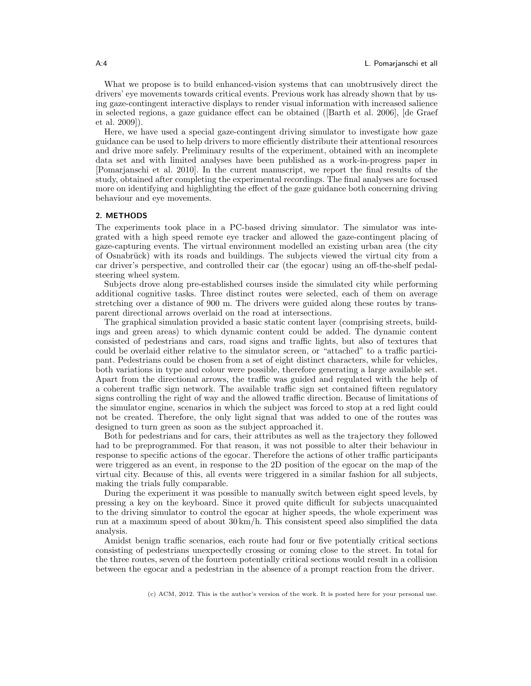What we propose is to build enhanced-vision systems that can unobtrusively direct the drivers' eye movements towards critical events. Previous work has already shown that by using gaze-contingent interactive displays to render visual information with increased salience in selected regions, a gaze guidance effect can be obtained ([Barth et al. 2006], [de Graef et al. 2009]).

Here, we have used a special gaze-contingent driving simulator to investigate how gaze guidance can be used to help drivers to more efficiently distribute their attentional resources and drive more safely. Preliminary results of the experiment, obtained with an incomplete data set and with limited analyses have been published as a work-in-progress paper in [Pomarjanschi et al. 2010]. In the current manuscript, we report the final results of the study, obtained after completing the experimental recordings. The final analyses are focused more on identifying and highlighting the effect of the gaze guidance both concerning driving behaviour and eye movements.

# 2. METHODS

The experiments took place in a PC-based driving simulator. The simulator was integrated with a high speed remote eye tracker and allowed the gaze-contingent placing of gaze-capturing events. The virtual environment modelled an existing urban area (the city of Osnabrück) with its roads and buildings. The subjects viewed the virtual city from a car driver's perspective, and controlled their car (the egocar) using an off-the-shelf pedalsteering wheel system.

Subjects drove along pre-established courses inside the simulated city while performing additional cognitive tasks. Three distinct routes were selected, each of them on average stretching over a distance of 900 m. The drivers were guided along these routes by transparent directional arrows overlaid on the road at intersections.

The graphical simulation provided a basic static content layer (comprising streets, buildings and green areas) to which dynamic content could be added. The dynamic content consisted of pedestrians and cars, road signs and traffic lights, but also of textures that could be overlaid either relative to the simulator screen, or "attached" to a traffic participant. Pedestrians could be chosen from a set of eight distinct characters, while for vehicles, both variations in type and colour were possible, therefore generating a large available set. Apart from the directional arrows, the traffic was guided and regulated with the help of a coherent traffic sign network. The available traffic sign set contained fifteen regulatory signs controlling the right of way and the allowed traffic direction. Because of limitations of the simulator engine, scenarios in which the subject was forced to stop at a red light could not be created. Therefore, the only light signal that was added to one of the routes was designed to turn green as soon as the subject approached it.

Both for pedestrians and for cars, their attributes as well as the trajectory they followed had to be preprogrammed. For that reason, it was not possible to alter their behaviour in response to specific actions of the egocar. Therefore the actions of other traffic participants were triggered as an event, in response to the 2D position of the egocar on the map of the virtual city. Because of this, all events were triggered in a similar fashion for all subjects, making the trials fully comparable.

During the experiment it was possible to manually switch between eight speed levels, by pressing a key on the keyboard. Since it proved quite difficult for subjects unacquainted to the driving simulator to control the egocar at higher speeds, the whole experiment was run at a maximum speed of about 30 km/h. This consistent speed also simplified the data analysis.

Amidst benign traffic scenarios, each route had four or five potentially critical sections consisting of pedestrians unexpectedly crossing or coming close to the street. In total for the three routes, seven of the fourteen potentially critical sections would result in a collision between the egocar and a pedestrian in the absence of a prompt reaction from the driver.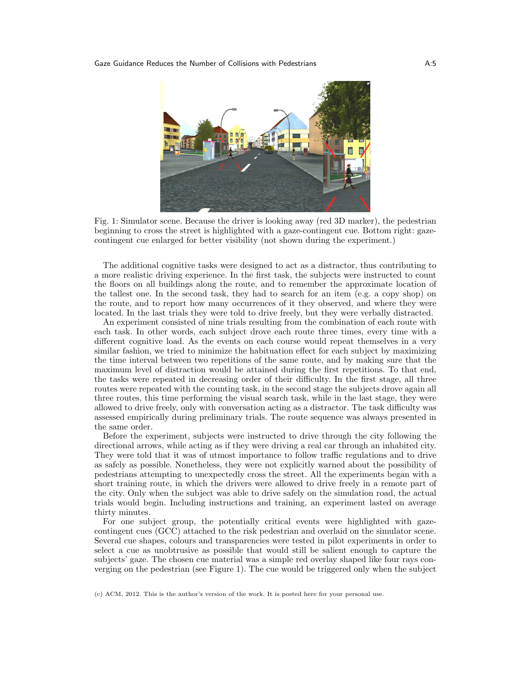

Fig. 1: Simulator scene. Because the driver is looking away (red 3D marker), the pedestrian beginning to cross the street is highlighted with a gaze-contingent cue. Bottom right: gazecontingent cue enlarged for better visibility (not shown during the experiment.)

The additional cognitive tasks were designed to act as a distractor, thus contributing to a more realistic driving experience. In the first task, the subjects were instructed to count the floors on all buildings along the route, and to remember the approximate location of the tallest one. In the second task, they had to search for an item (e.g. a copy shop) on the route, and to report how many occurrences of it they observed, and where they were located. In the last trials they were told to drive freely, but they were verbally distracted.

An experiment consisted of nine trials resulting from the combination of each route with each task. In other words, each subject drove each route three times, every time with a different cognitive load. As the events on each course would repeat themselves in a very similar fashion, we tried to minimize the habituation effect for each subject by maximizing the time interval between two repetitions of the same route, and by making sure that the maximum level of distraction would be attained during the first repetitions. To that end, the tasks were repeated in decreasing order of their difficulty. In the first stage, all three routes were repeated with the counting task, in the second stage the subjects drove again all three routes, this time performing the visual search task, while in the last stage, they were allowed to drive freely, only with conversation acting as a distractor. The task difficulty was assessed empirically during preliminary trials. The route sequence was always presented in the same order.

Before the experiment, subjects were instructed to drive through the city following the directional arrows, while acting as if they were driving a real car through an inhabited city. They were told that it was of utmost importance to follow traffic regulations and to drive as safely as possible. Nonetheless, they were not explicitly warned about the possibility of pedestrians attempting to unexpectedly cross the street. All the experiments began with a short training route, in which the drivers were allowed to drive freely in a remote part of the city. Only when the subject was able to drive safely on the simulation road, the actual trials would begin. Including instructions and training, an experiment lasted on average thirty minutes.

For one subject group, the potentially critical events were highlighted with gazecontingent cues (GCC) attached to the risk pedestrian and overlaid on the simulator scene. Several cue shapes, colours and transparencies were tested in pilot experiments in order to select a cue as unobtrusive as possible that would still be salient enough to capture the subjects' gaze. The chosen cue material was a simple red overlay shaped like four rays converging on the pedestrian (see Figure 1). The cue would be triggered only when the subject

<sup>(</sup>c) ACM, 2012. This is the author's version of the work. It is posted here for your personal use.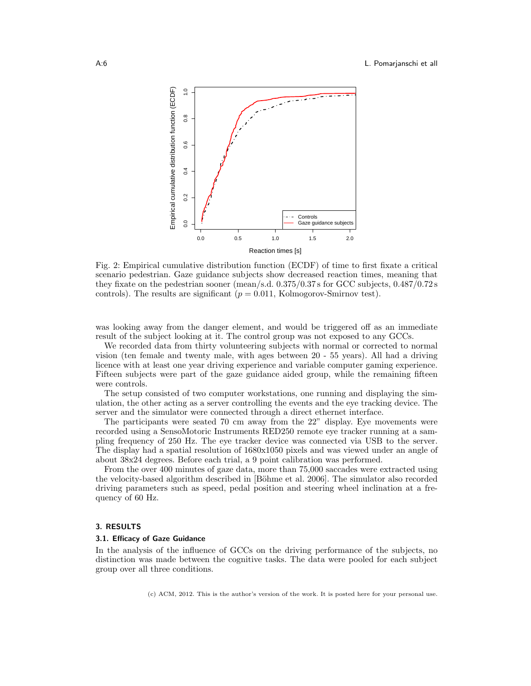

Fig. 2: Empirical cumulative distribution function (ECDF) of time to first fixate a critical scenario pedestrian. Gaze guidance subjects show decreased reaction times, meaning that they fixate on the pedestrian sooner (mean/s.d. 0.375/0.37 s for GCC subjects, 0.487/0.72 s controls). The results are significant ( $p = 0.011$ , Kolmogorov-Smirnov test).

was looking away from the danger element, and would be triggered off as an immediate result of the subject looking at it. The control group was not exposed to any GCCs.

We recorded data from thirty volunteering subjects with normal or corrected to normal vision (ten female and twenty male, with ages between 20 - 55 years). All had a driving licence with at least one year driving experience and variable computer gaming experience. Fifteen subjects were part of the gaze guidance aided group, while the remaining fifteen were controls.

The setup consisted of two computer workstations, one running and displaying the simulation, the other acting as a server controlling the events and the eye tracking device. The server and the simulator were connected through a direct ethernet interface.

The participants were seated 70 cm away from the 22" display. Eye movements were recorded using a SensoMotoric Instruments RED250 remote eye tracker running at a sampling frequency of 250 Hz. The eye tracker device was connected via USB to the server. The display had a spatial resolution of 1680x1050 pixels and was viewed under an angle of about 38x24 degrees. Before each trial, a 9 point calibration was performed.

From the over 400 minutes of gaze data, more than 75,000 saccades were extracted using the velocity-based algorithm described in [Böhme et al. 2006]. The simulator also recorded driving parameters such as speed, pedal position and steering wheel inclination at a frequency of 60 Hz.

### 3. RESULTS

### 3.1. Efficacy of Gaze Guidance

In the analysis of the influence of GCCs on the driving performance of the subjects, no distinction was made between the cognitive tasks. The data were pooled for each subject group over all three conditions.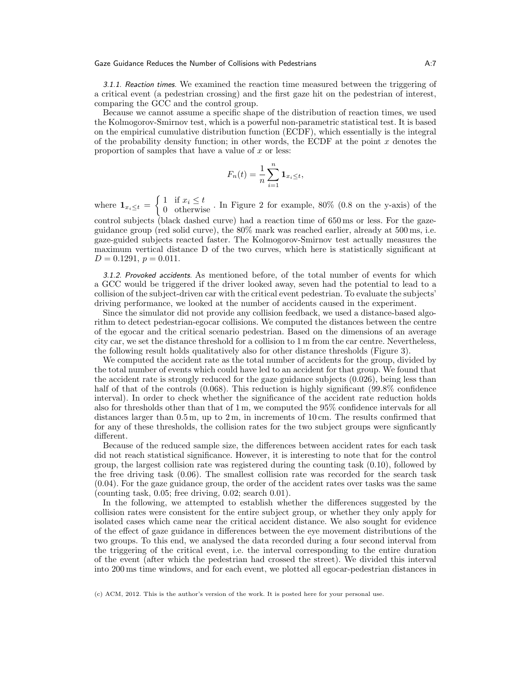#### Gaze Guidance Reduces the Number of Collisions with Pedestrians **A:7** A:7

3.1.1. Reaction times. We examined the reaction time measured between the triggering of a critical event (a pedestrian crossing) and the first gaze hit on the pedestrian of interest, comparing the GCC and the control group.

Because we cannot assume a specific shape of the distribution of reaction times, we used the Kolmogorov-Smirnov test, which is a powerful non-parametric statistical test. It is based on the empirical cumulative distribution function (ECDF), which essentially is the integral of the probability density function; in other words, the ECDF at the point  $x$  denotes the proportion of samples that have a value of x or less:

$$
F_n(t) = \frac{1}{n} \sum_{i=1}^n \mathbf{1}_{x_i \le t},
$$

where  $\mathbf{1}_{x_i \leq t} = \begin{cases} 1 & \text{if } x_i \leq t \\ 0 & \text{otherwise} \end{cases}$ . In Figure 2 for example, 80% (0.8 on the y-axis) of the control subjects (black dashed curve) had a reaction time of 650 ms or less. For the gaze-

guidance group (red solid curve), the 80% mark was reached earlier, already at 500 ms, i.e. gaze-guided subjects reacted faster. The Kolmogorov-Smirnov test actually measures the maximum vertical distance D of the two curves, which here is statistically significant at  $D = 0.1291, p = 0.011.$ 

3.1.2. Provoked accidents. As mentioned before, of the total number of events for which a GCC would be triggered if the driver looked away, seven had the potential to lead to a collision of the subject-driven car with the critical event pedestrian. To evaluate the subjects' driving performance, we looked at the number of accidents caused in the experiment.

Since the simulator did not provide any collision feedback, we used a distance-based algorithm to detect pedestrian-egocar collisions. We computed the distances between the centre of the egocar and the critical scenario pedestrian. Based on the dimensions of an average city car, we set the distance threshold for a collision to 1 m from the car centre. Nevertheless, the following result holds qualitatively also for other distance thresholds (Figure 3).

We computed the accident rate as the total number of accidents for the group, divided by the total number of events which could have led to an accident for that group. We found that the accident rate is strongly reduced for the gaze guidance subjects (0.026), being less than half of that of the controls  $(0.068)$ . This reduction is highly significant  $(99.8\%$  confidence interval). In order to check whether the significance of the accident rate reduction holds also for thresholds other than that of 1 m, we computed the 95% confidence intervals for all distances larger than 0.5 m, up to 2 m, in increments of 10 cm. The results confirmed that for any of these thresholds, the collision rates for the two subject groups were signficantly different.

Because of the reduced sample size, the differences between accident rates for each task did not reach statistical significance. However, it is interesting to note that for the control group, the largest collision rate was registered during the counting task (0.10), followed by the free driving task (0.06). The smallest collision rate was recorded for the search task (0.04). For the gaze guidance group, the order of the accident rates over tasks was the same (counting task,  $0.05$ ; free driving,  $0.02$ ; search  $0.01$ ).

In the following, we attempted to establish whether the differences suggested by the collision rates were consistent for the entire subject group, or whether they only apply for isolated cases which came near the critical accident distance. We also sought for evidence of the effect of gaze guidance in differences between the eye movement distributions of the two groups. To this end, we analysed the data recorded during a four second interval from the triggering of the critical event, i.e. the interval corresponding to the entire duration of the event (after which the pedestrian had crossed the street). We divided this interval into 200 ms time windows, and for each event, we plotted all egocar-pedestrian distances in

<sup>(</sup>c) ACM, 2012. This is the author's version of the work. It is posted here for your personal use.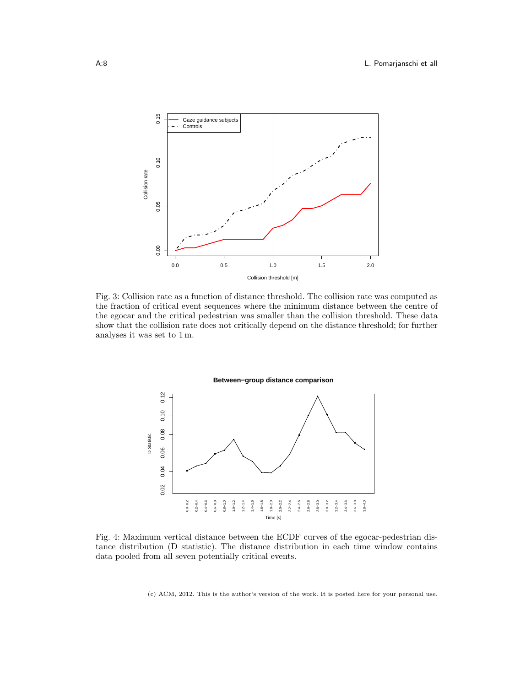

Fig. 3: Collision rate as a function of distance threshold. The collision rate was computed as the fraction of critical event sequences where the minimum distance between the centre of the egocar and the critical pedestrian was smaller than the collision threshold. These data show that the collision rate does not critically depend on the distance threshold; for further analyses it was set to 1 m.



Fig. 4: Maximum vertical distance between the ECDF curves of the egocar-pedestrian distance distribution (D statistic). The distance distribution in each time window contains data pooled from all seven potentially critical events.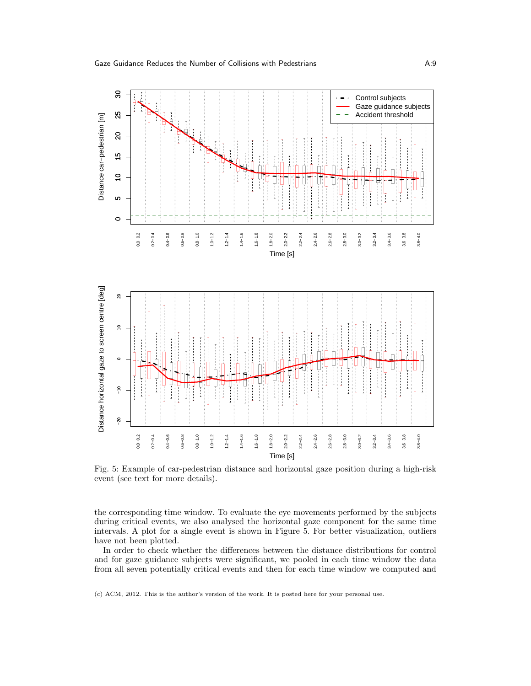

Fig. 5: Example of car-pedestrian distance and horizontal gaze position during a high-risk event (see text for more details).

the corresponding time window. To evaluate the eye movements performed by the subjects during critical events, we also analysed the horizontal gaze component for the same time intervals. A plot for a single event is shown in Figure 5. For better visualization, outliers have not been plotted.

In order to check whether the differences between the distance distributions for control and for gaze guidance subjects were significant, we pooled in each time window the data from all seven potentially critical events and then for each time window we computed and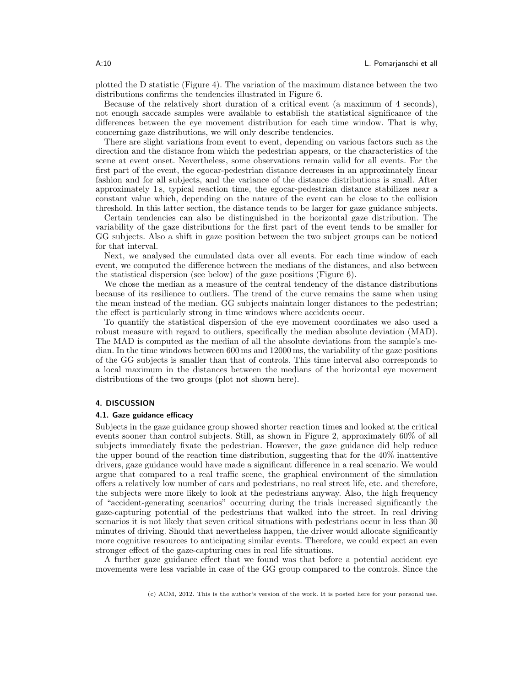plotted the D statistic (Figure 4). The variation of the maximum distance between the two distributions confirms the tendencies illustrated in Figure 6.

Because of the relatively short duration of a critical event (a maximum of 4 seconds), not enough saccade samples were available to establish the statistical significance of the differences between the eye movement distribution for each time window. That is why, concerning gaze distributions, we will only describe tendencies.

There are slight variations from event to event, depending on various factors such as the direction and the distance from which the pedestrian appears, or the characteristics of the scene at event onset. Nevertheless, some observations remain valid for all events. For the first part of the event, the egocar-pedestrian distance decreases in an approximately linear fashion and for all subjects, and the variance of the distance distributions is small. After approximately 1 s, typical reaction time, the egocar-pedestrian distance stabilizes near a constant value which, depending on the nature of the event can be close to the collision threshold. In this latter section, the distance tends to be larger for gaze guidance subjects.

Certain tendencies can also be distinguished in the horizontal gaze distribution. The variability of the gaze distributions for the first part of the event tends to be smaller for GG subjects. Also a shift in gaze position between the two subject groups can be noticed for that interval.

Next, we analysed the cumulated data over all events. For each time window of each event, we computed the difference between the medians of the distances, and also between the statistical dispersion (see below) of the gaze positions (Figure 6).

We chose the median as a measure of the central tendency of the distance distributions because of its resilience to outliers. The trend of the curve remains the same when using the mean instead of the median. GG subjects maintain longer distances to the pedestrian; the effect is particularly strong in time windows where accidents occur.

To quantify the statistical dispersion of the eye movement coordinates we also used a robust measure with regard to outliers, specifically the median absolute deviation (MAD). The MAD is computed as the median of all the absolute deviations from the sample's median. In the time windows between 600 ms and 12000 ms, the variability of the gaze positions of the GG subjects is smaller than that of controls. This time interval also corresponds to a local maximum in the distances between the medians of the horizontal eye movement distributions of the two groups (plot not shown here).

# 4. DISCUSSION

### 4.1. Gaze guidance efficacy

Subjects in the gaze guidance group showed shorter reaction times and looked at the critical events sooner than control subjects. Still, as shown in Figure 2, approximately 60% of all subjects immediately fixate the pedestrian. However, the gaze guidance did help reduce the upper bound of the reaction time distribution, suggesting that for the 40% inattentive drivers, gaze guidance would have made a significant difference in a real scenario. We would argue that compared to a real traffic scene, the graphical environment of the simulation offers a relatively low number of cars and pedestrians, no real street life, etc. and therefore, the subjects were more likely to look at the pedestrians anyway. Also, the high frequency of "accident-generating scenarios" occurring during the trials increased significantly the gaze-capturing potential of the pedestrians that walked into the street. In real driving scenarios it is not likely that seven critical situations with pedestrians occur in less than 30 minutes of driving. Should that nevertheless happen, the driver would allocate significantly more cognitive resources to anticipating similar events. Therefore, we could expect an even stronger effect of the gaze-capturing cues in real life situations.

A further gaze guidance effect that we found was that before a potential accident eye movements were less variable in case of the GG group compared to the controls. Since the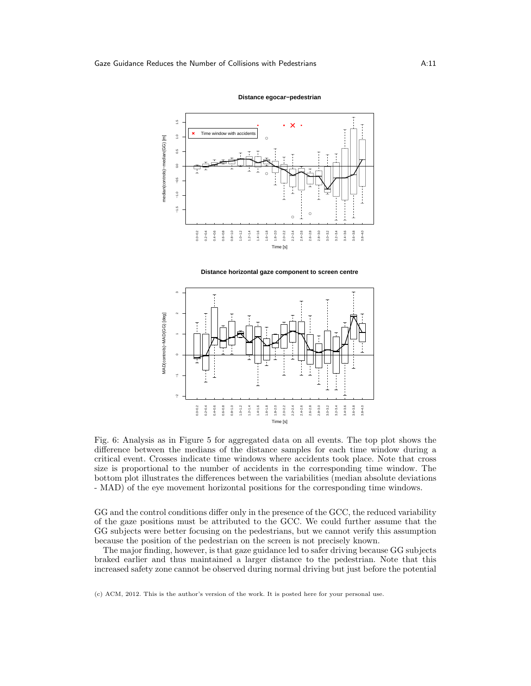

**Distance egocar−pedestrian**

**Distance horizontal gaze component to screen centre**



Fig. 6: Analysis as in Figure 5 for aggregated data on all events. The top plot shows the difference between the medians of the distance samples for each time window during a critical event. Crosses indicate time windows where accidents took place. Note that cross size is proportional to the number of accidents in the corresponding time window. The bottom plot illustrates the differences between the variabilities (median absolute deviations - MAD) of the eye movement horizontal positions for the corresponding time windows.

GG and the control conditions differ only in the presence of the GCC, the reduced variability of the gaze positions must be attributed to the GCC. We could further assume that the GG subjects were better focusing on the pedestrians, but we cannot verify this assumption because the position of the pedestrian on the screen is not precisely known.

The major finding, however, is that gaze guidance led to safer driving because GG subjects braked earlier and thus maintained a larger distance to the pedestrian. Note that this increased safety zone cannot be observed during normal driving but just before the potential

<sup>(</sup>c) ACM, 2012. This is the author's version of the work. It is posted here for your personal use.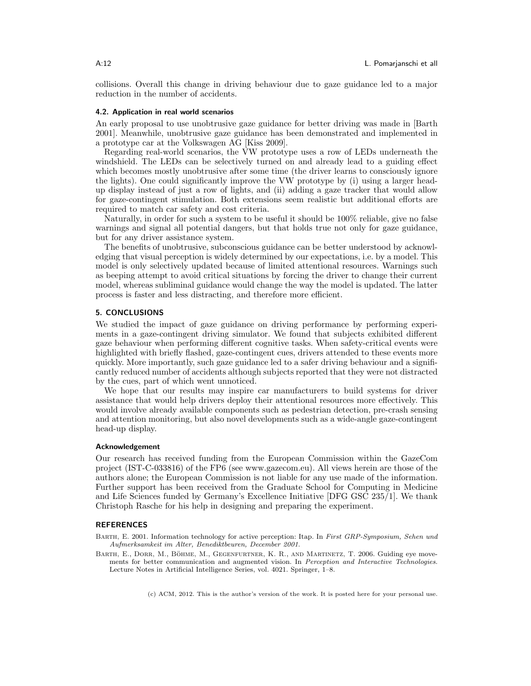collisions. Overall this change in driving behaviour due to gaze guidance led to a major reduction in the number of accidents.

### 4.2. Application in real world scenarios

An early proposal to use unobtrusive gaze guidance for better driving was made in [Barth 2001]. Meanwhile, unobtrusive gaze guidance has been demonstrated and implemented in a prototype car at the Volkswagen AG [Kiss 2009].

Regarding real-world scenarios, the VW prototype uses a row of LEDs underneath the windshield. The LEDs can be selectively turned on and already lead to a guiding effect which becomes mostly unobtrusive after some time (the driver learns to consciously ignore the lights). One could significantly improve the VW prototype by (i) using a larger headup display instead of just a row of lights, and (ii) adding a gaze tracker that would allow for gaze-contingent stimulation. Both extensions seem realistic but additional efforts are required to match car safety and cost criteria.

Naturally, in order for such a system to be useful it should be 100% reliable, give no false warnings and signal all potential dangers, but that holds true not only for gaze guidance, but for any driver assistance system.

The benefits of unobtrusive, subconscious guidance can be better understood by acknowledging that visual perception is widely determined by our expectations, i.e. by a model. This model is only selectively updated because of limited attentional resources. Warnings such as beeping attempt to avoid critical situations by forcing the driver to change their current model, whereas subliminal guidance would change the way the model is updated. The latter process is faster and less distracting, and therefore more efficient.

### 5. CONCLUSIONS

We studied the impact of gaze guidance on driving performance by performing experiments in a gaze-contingent driving simulator. We found that subjects exhibited different gaze behaviour when performing different cognitive tasks. When safety-critical events were highlighted with briefly flashed, gaze-contingent cues, drivers attended to these events more quickly. More importantly, such gaze guidance led to a safer driving behaviour and a significantly reduced number of accidents although subjects reported that they were not distracted by the cues, part of which went unnoticed.

We hope that our results may inspire car manufacturers to build systems for driver assistance that would help drivers deploy their attentional resources more effectively. This would involve already available components such as pedestrian detection, pre-crash sensing and attention monitoring, but also novel developments such as a wide-angle gaze-contingent head-up display.

# Acknowledgement

Our research has received funding from the European Commission within the GazeCom project (IST-C-033816) of the FP6 (see www.gazecom.eu). All views herein are those of the authors alone; the European Commission is not liable for any use made of the information. Further support has been received from the Graduate School for Computing in Medicine and Life Sciences funded by Germany's Excellence Initiative [DFG GSC 235/1]. We thank Christoph Rasche for his help in designing and preparing the experiment.

### REFERENCES

- Barth, E. 2001. Information technology for active perception: Itap. In First GRP-Symposium, Sehen und Aufmerksamkeit im Alter, Benediktbeuren, December 2001.
- BARTH, E., DORR, M., BÖHME, M., GEGENFURTNER, K. R., AND MARTINETZ, T. 2006. Guiding eye movements for better communication and augmented vision. In Perception and Interactive Technologies. Lecture Notes in Artificial Intelligence Series, vol. 4021. Springer, 1–8.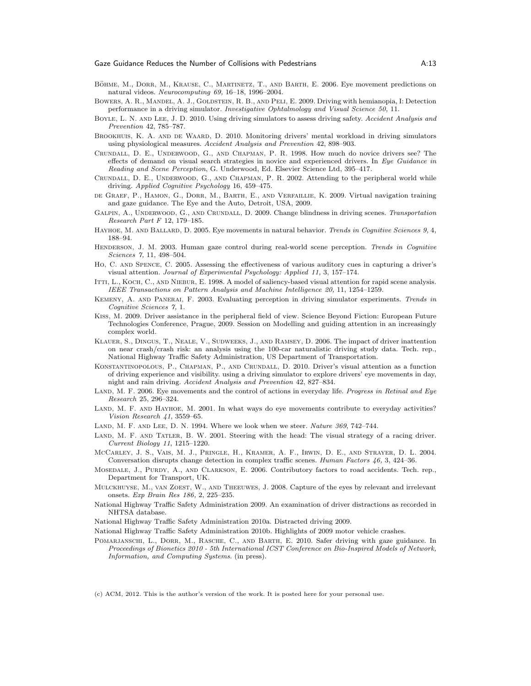#### Gaze Guidance Reduces the Number of Collisions with Pedestrians **A:13** A:13

- BÖHME, M., DORR, M., KRAUSE, C., MARTINETZ, T., AND BARTH, E. 2006. Eye movement predictions on natural videos. Neurocomputing 69, 16–18, 1996–2004.
- BOWERS, A. R., MANDEL, A. J., GOLDSTEIN, R. B., AND PELI, E. 2009. Driving with hemianopia, I: Detection performance in a driving simulator. Investigative Ophtalmology and Visual Science 50, 11.
- BOYLE, L. N. AND LEE, J. D. 2010. Using driving simulators to assess driving safety. Accident Analysis and Prevention 42, 785–787.
- BROOKHUIS, K. A. AND DE WAARD, D. 2010. Monitoring drivers' mental workload in driving simulators using physiological measures. Accident Analysis and Prevention 42, 898–903.
- Crundall, D. E., Underwood, G., and Chapman, P. R. 1998. How much do novice drivers see? The effects of demand on visual search strategies in novice and experienced drivers. In Eye Guidance in Reading and Scene Perception, G. Underwood, Ed. Elsevier Science Ltd, 395–417.
- Crundall, D. E., Underwood, G., and Chapman, P. R. 2002. Attending to the peripheral world while driving. Applied Cognitive Psychology 16, 459–475.
- de Graef, P., Hamon, G., Dorr, M., Barth, E., and Verfaillie, K. 2009. Virtual navigation training and gaze guidance. The Eye and the Auto, Detroit, USA, 2009.
- GALPIN, A., UNDERWOOD, G., AND CRUNDALL, D. 2009. Change blindness in driving scenes. Transportation Research Part F 12, 179–185.
- HAYHOE, M. AND BALLARD, D. 2005. Eye movements in natural behavior. Trends in Cognitive Sciences 9, 4, 188–94.
- HENDERSON, J. M. 2003. Human gaze control during real-world scene perception. Trends in Cognitive Sciences 7, 11, 498–504.
- Ho, C. and Spence, C. 2005. Assessing the effectiveness of various auditory cues in capturing a driver's visual attention. Journal of Experimental Psychology: Applied 11, 3, 157–174.
- ITTI, L., KOCH, C., AND NIEBUR, E. 1998. A model of saliency-based visual attention for rapid scene analysis. IEEE Transactions on Pattern Analysis and Machine Intelligence 20, 11, 1254–1259.
- KEMENY, A. AND PANERAI, F. 2003. Evaluating perception in driving simulator experiments. Trends in Cognitive Sciences 7, 1.
- Kiss, M. 2009. Driver assistance in the peripheral field of view. Science Beyond Fiction: European Future Technologies Conference, Prague, 2009. Session on Modelling and guiding attention in an increasingly complex world.
- Klauer, S., Dingus, T., Neale, V., Sudweeks, J., and Ramsey, D. 2006. The impact of driver inattention on near crash/crash risk: an analysis using the 100-car naturalistic driving study data. Tech. rep., National Highway Traffic Safety Administration, US Department of Transportation.
- Konstantinopolous, P., Chapman, P., and Crundall, D. 2010. Driver's visual attention as a function of driving experience and visibility. using a driving simulator to explore drivers' eye movements in day, night and rain driving. Accident Analysis and Prevention 42, 827–834.
- LAND, M. F. 2006. Eye movements and the control of actions in everyday life. Progress in Retinal and Eye Research 25, 296–324.
- LAND, M. F. AND HAYHOE, M. 2001. In what ways do eye movements contribute to everyday activities? Vision Research 41, 3559–65.
- LAND, M. F. AND LEE, D. N. 1994. Where we look when we steer. Nature  $369, 742-744$ .
- Land, M. F. and Tatler, B. W. 2001. Steering with the head: The visual strategy of a racing driver. Current Biology 11, 1215–1220.
- McCarley, J. S., Vais, M. J., Pringle, H., Kramer, A. F., Irwin, D. E., and Strayer, D. L. 2004. Conversation disrupts change detection in complex traffic scenes. Human Factors 46, 3, 424–36.
- Mosedale, J., Purdy, A., and Clarkson, E. 2006. Contributory factors to road accidents. Tech. rep., Department for Transport, UK.
- Mulckhuyse, M., van Zoest, W., and Theeuwes, J. 2008. Capture of the eyes by relevant and irrelevant onsets. Exp Brain Res 186, 2, 225–235.
- National Highway Traffic Safety Administration 2009. An examination of driver distractions as recorded in NHTSA database.
- National Highway Traffic Safety Administration 2010a. Distracted driving 2009.
- National Highway Traffic Safety Administration 2010b. Highlights of 2009 motor vehicle crashes.
- Pomarjanschi, L., Dorr, M., Rasche, C., and Barth, E. 2010. Safer driving with gaze guidance. In Proceedings of Bionetics 2010 - 5th International ICST Conference on Bio-Inspired Models of Network, Information, and Computing Systems. (in press).